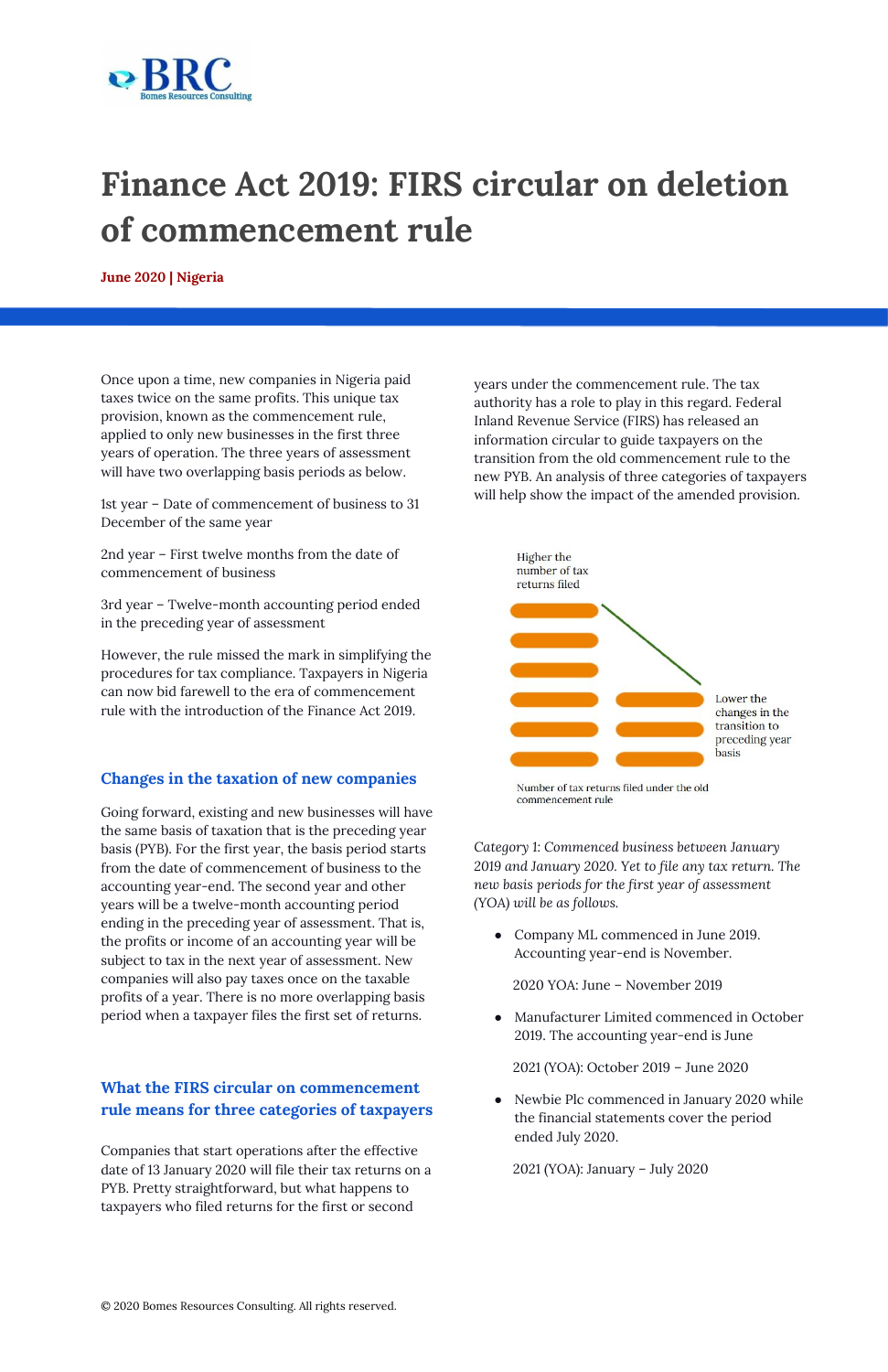

## **Finance Act 2019: FIRS circular on deletion of commencement rule**

**June 2020 | Nigeria**

Once upon a time, new companies in Nigeria paid taxes twice on the same profits. This unique tax provision, known as the commencement rule, applied to only new businesses in the first three years of operation. The three years of assessment will have two overlapping basis periods as below.

1st year – Date of commencement of business to 31 December of the same year

2nd year – First twelve months from the date of commencement of business

3rd year – Twelve-month accounting period ended in the preceding year of assessment

However, the rule missed the mark in simplifying the procedures for tax compliance. Taxpayers in Nigeria can now bid farewell to the era of commencement rule with the introduction of the Finance Act 2019.

## **Changes in the taxation of new companies**

Going forward, existing and new businesses will have the same basis of taxation that is the preceding year basis (PYB). For the first year, the basis period starts from the date of commencement of business to the accounting year-end. The second year and other years will be a twelve-month accounting period ending in the preceding year of assessment. That is, the profits or income of an accounting year will be subject to tax in the next year of assessment. New companies will also pay taxes once on the taxable profits of a year. There is no more overlapping basis

• Company ML commenced in June 2019. Accounting year-end is November.

Newbie Plc commenced in January 2020 while the financial statements cover the period ended July 2020.

period when a taxpayer files the first set of returns.

## **What the FIRS circular on commencement rule means for three categories of taxpayers**

Companies that start operations after the effective date of 13 January 2020 will file their tax returns on a PYB. Pretty straightforward, but what happens to taxpayers who filed returns for the first or second

years under the [commencement](https://www.bomesresourcesconsulting.com/commencement-rule-nigeria-tax.html) rule. The tax authority has a role to play in this regard. Federal Inland Revenue Service (FIRS) has released an information circular to guide taxpayers on the transition from the old commencement rule to the new PYB. An analysis of three categories of taxpayers will help show the impact of the amended provision.



Number of tax returns filed under the old commencement rule

*Category 1: Commenced business between January 2019 and January 2020. Yet to file any tax return. The new basis periods for the first year of assessment (YOA) will be as follows.*

2020 YOA: June – November 2019

● Manufacturer Limited commenced in October 2019. The accounting year-end is June

2021 (YOA): October 2019 – June 2020

2021 (YOA): January – July 2020

© 2020 Bomes Resources Consulting. All rights reserved.